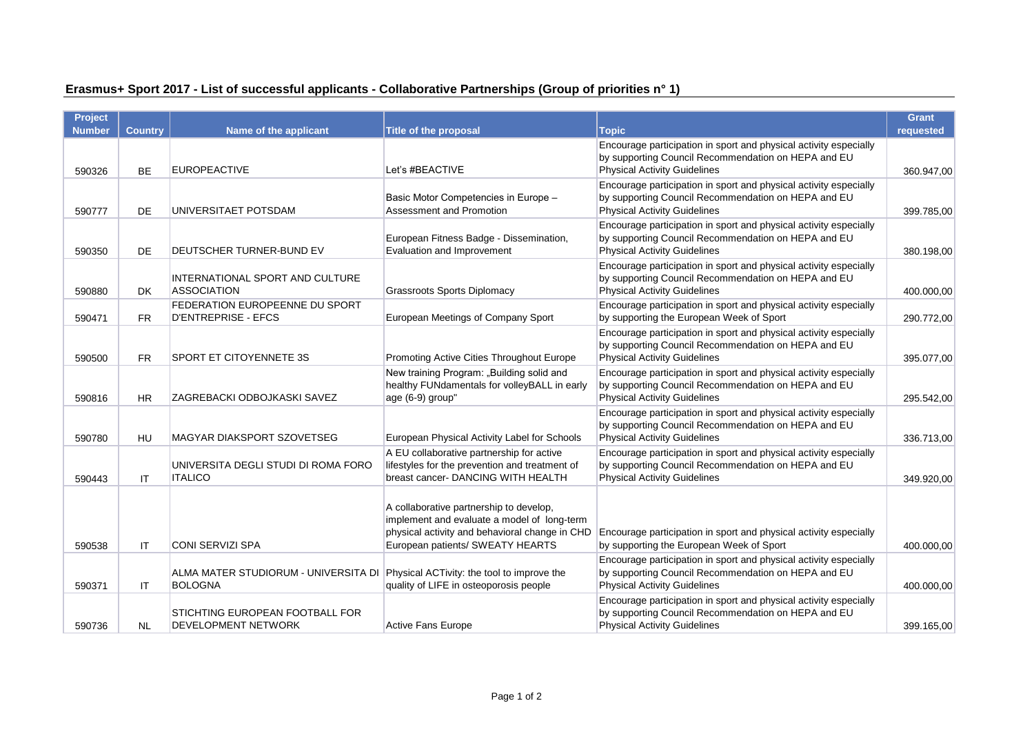| Erasmus+ Sport 2017 - List of successful applicants - Collaborative Partnerships (Group of priorities n° 1) |  |  |  |
|-------------------------------------------------------------------------------------------------------------|--|--|--|
|                                                                                                             |  |  |  |

| <b>Project</b> |                |                                                                                                   |                                                                                                                                                                              |                                                                                                                                                                 | <b>Grant</b> |
|----------------|----------------|---------------------------------------------------------------------------------------------------|------------------------------------------------------------------------------------------------------------------------------------------------------------------------------|-----------------------------------------------------------------------------------------------------------------------------------------------------------------|--------------|
| <b>Number</b>  | <b>Country</b> | Name of the applicant                                                                             | Title of the proposal                                                                                                                                                        | <b>Topic</b>                                                                                                                                                    | requested    |
| 590326         | <b>BE</b>      | <b>EUROPEACTIVE</b>                                                                               | Let's #BEACTIVE                                                                                                                                                              | Encourage participation in sport and physical activity especially<br>by supporting Council Recommendation on HEPA and EU<br><b>Physical Activity Guidelines</b> | 360.947,00   |
| 590777         | <b>DE</b>      | UNIVERSITAET POTSDAM                                                                              | Basic Motor Competencies in Europe -<br>Assessment and Promotion                                                                                                             | Encourage participation in sport and physical activity especially<br>by supporting Council Recommendation on HEPA and EU<br><b>Physical Activity Guidelines</b> | 399.785,00   |
| 590350         | <b>DE</b>      | DEUTSCHER TURNER-BUND EV                                                                          | European Fitness Badge - Dissemination,<br>Evaluation and Improvement                                                                                                        | Encourage participation in sport and physical activity especially<br>by supporting Council Recommendation on HEPA and EU<br><b>Physical Activity Guidelines</b> | 380.198,00   |
| 590880         | DK.            | INTERNATIONAL SPORT AND CULTURE<br><b>ASSOCIATION</b>                                             | <b>Grassroots Sports Diplomacy</b>                                                                                                                                           | Encourage participation in sport and physical activity especially<br>by supporting Council Recommendation on HEPA and EU<br><b>Physical Activity Guidelines</b> | 400.000,00   |
| 590471         | <b>FR</b>      | FEDERATION EUROPEENNE DU SPORT<br><b>D'ENTREPRISE - EFCS</b>                                      | European Meetings of Company Sport                                                                                                                                           | Encourage participation in sport and physical activity especially<br>by supporting the European Week of Sport                                                   | 290.772,00   |
| 590500         | FR.            | SPORT ET CITOYENNETE 3S                                                                           | Promoting Active Cities Throughout Europe                                                                                                                                    | Encourage participation in sport and physical activity especially<br>by supporting Council Recommendation on HEPA and EU<br><b>Physical Activity Guidelines</b> | 395.077,00   |
| 590816         | <b>HR</b>      | ZAGREBACKI ODBOJKASKI SAVEZ                                                                       | New training Program: "Building solid and<br>healthy FUNdamentals for volleyBALL in early<br>age (6-9) group"                                                                | Encourage participation in sport and physical activity especially<br>by supporting Council Recommendation on HEPA and EU<br><b>Physical Activity Guidelines</b> | 295.542.00   |
| 590780         | <b>HU</b>      | MAGYAR DIAKSPORT SZOVETSEG                                                                        | European Physical Activity Label for Schools                                                                                                                                 | Encourage participation in sport and physical activity especially<br>by supporting Council Recommendation on HEPA and EU<br><b>Physical Activity Guidelines</b> | 336.713,00   |
| 590443         | ΙT             | UNIVERSITA DEGLI STUDI DI ROMA FORO<br><b>ITALICO</b>                                             | A EU collaborative partnership for active<br>lifestyles for the prevention and treatment of<br>breast cancer- DANCING WITH HEALTH                                            | Encourage participation in sport and physical activity especially<br>by supporting Council Recommendation on HEPA and EU<br><b>Physical Activity Guidelines</b> | 349.920,00   |
| 590538         | IT             | <b>CONI SERVIZI SPA</b>                                                                           | A collaborative partnership to develop,<br>implement and evaluate a model of long-term<br>physical activity and behavioral change in CHD<br>European patients/ SWEATY HEARTS | Encourage participation in sport and physical activity especially<br>by supporting the European Week of Sport                                                   | 400.000,00   |
| 590371         | IT             | ALMA MATER STUDIORUM - UNIVERSITA DI Physical ACTivity: the tool to improve the<br><b>BOLOGNA</b> | quality of LIFE in osteoporosis people                                                                                                                                       | Encourage participation in sport and physical activity especially<br>by supporting Council Recommendation on HEPA and EU<br><b>Physical Activity Guidelines</b> | 400.000,00   |
| 590736         | <b>NL</b>      | STICHTING EUROPEAN FOOTBALL FOR<br><b>DEVELOPMENT NETWORK</b>                                     | Active Fans Europe                                                                                                                                                           | Encourage participation in sport and physical activity especially<br>by supporting Council Recommendation on HEPA and EU<br><b>Physical Activity Guidelines</b> | 399.165,00   |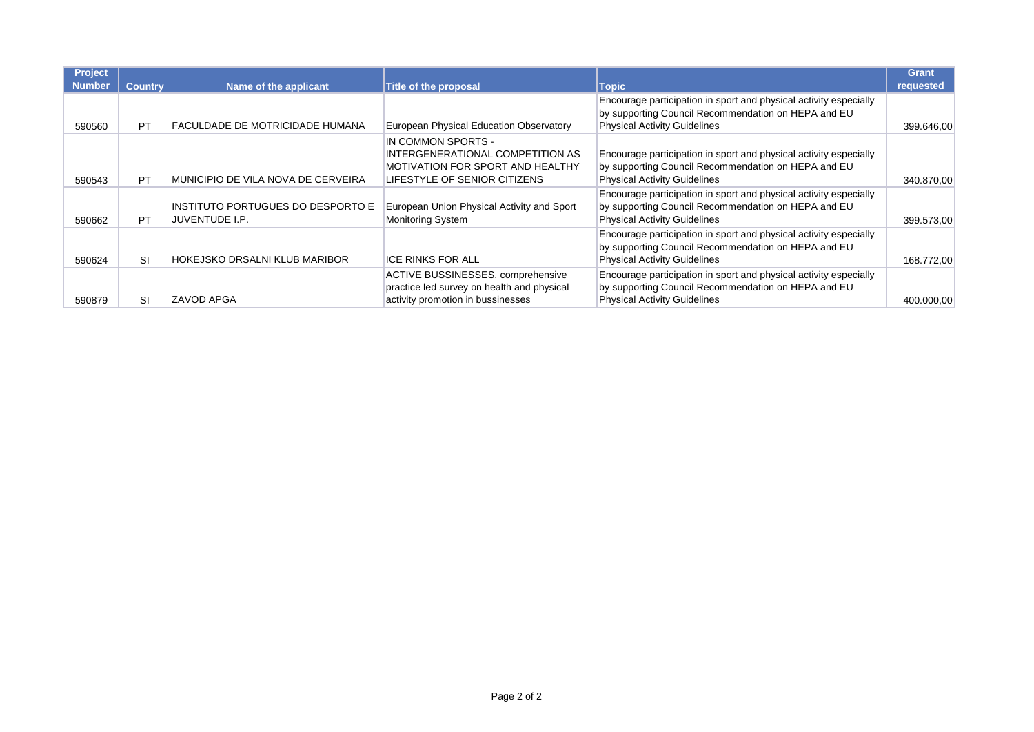| Project<br><b>Number</b> | <b>Country</b> | Name of the applicant                               | Title of the proposal                                                                                                      | <b>Topic</b>                                                                                                                                                    | <b>Grant</b><br>requested |
|--------------------------|----------------|-----------------------------------------------------|----------------------------------------------------------------------------------------------------------------------------|-----------------------------------------------------------------------------------------------------------------------------------------------------------------|---------------------------|
| 590560                   | <b>PT</b>      | FACULDADE DE MOTRICIDADE HUMANA                     | European Physical Education Observatory                                                                                    | Encourage participation in sport and physical activity especially<br>by supporting Council Recommendation on HEPA and EU<br><b>Physical Activity Guidelines</b> | 399.646,00                |
| 590543                   | <b>PT</b>      | MUNICIPIO DE VILA NOVA DE CERVEIRA                  | IN COMMON SPORTS -<br>INTERGENERATIONAL COMPETITION AS<br>MOTIVATION FOR SPORT AND HEALTHY<br>LIFESTYLE OF SENIOR CITIZENS | Encourage participation in sport and physical activity especially<br>by supporting Council Recommendation on HEPA and EU<br><b>Physical Activity Guidelines</b> | 340.870.00                |
| 590662                   | <b>PT</b>      | INSTITUTO PORTUGUES DO DESPORTO E<br>JUVENTUDE I.P. | European Union Physical Activity and Sport<br><b>Monitoring System</b>                                                     | Encourage participation in sport and physical activity especially<br>by supporting Council Recommendation on HEPA and EU<br><b>Physical Activity Guidelines</b> | 399.573,00                |
| 590624                   | <b>SI</b>      | HOKEJSKO DRSALNI KLUB MARIBOR                       | <b>ICE RINKS FOR ALL</b>                                                                                                   | Encourage participation in sport and physical activity especially<br>by supporting Council Recommendation on HEPA and EU<br><b>Physical Activity Guidelines</b> | 168.772,00                |
| 590879                   | SI             | ZAVOD APGA                                          | ACTIVE BUSSINESSES, comprehensive<br>practice led survey on health and physical<br>activity promotion in bussinesses       | Encourage participation in sport and physical activity especially<br>by supporting Council Recommendation on HEPA and EU<br>Physical Activity Guidelines        | 400.000,00                |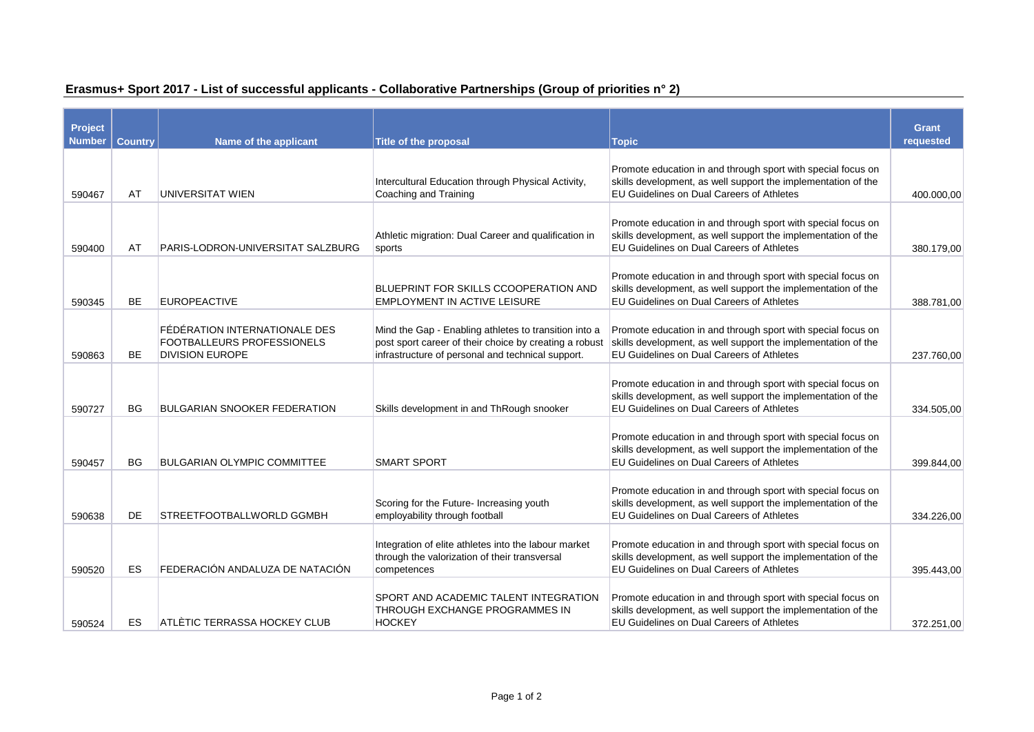| Project<br><b>Number</b> | <b>Country</b> | Name of the applicant                                | <b>Title of the proposal</b>                                                                                | <b>Topic</b>                                                                                                                  | <b>Grant</b><br>requested |
|--------------------------|----------------|------------------------------------------------------|-------------------------------------------------------------------------------------------------------------|-------------------------------------------------------------------------------------------------------------------------------|---------------------------|
|                          |                |                                                      |                                                                                                             |                                                                                                                               |                           |
|                          |                |                                                      | Intercultural Education through Physical Activity,                                                          | Promote education in and through sport with special focus on<br>skills development, as well support the implementation of the |                           |
| 590467                   | AT             | <b>UNIVERSITAT WIEN</b>                              | Coaching and Training                                                                                       | <b>EU Guidelines on Dual Careers of Athletes</b>                                                                              | 400.000,00                |
|                          |                |                                                      |                                                                                                             |                                                                                                                               |                           |
|                          |                |                                                      | Athletic migration: Dual Career and qualification in                                                        | Promote education in and through sport with special focus on<br>skills development, as well support the implementation of the |                           |
| 590400                   | AT             | PARIS-LODRON-UNIVERSITAT SALZBURG                    | sports                                                                                                      | EU Guidelines on Dual Careers of Athletes                                                                                     | 380.179.00                |
|                          |                |                                                      |                                                                                                             | Promote education in and through sport with special focus on                                                                  |                           |
|                          |                |                                                      | BLUEPRINT FOR SKILLS CCOOPERATION AND                                                                       | skills development, as well support the implementation of the                                                                 |                           |
| 590345                   | <b>BE</b>      | <b>EUROPEACTIVE</b>                                  | <b>EMPLOYMENT IN ACTIVE LEISURE</b>                                                                         | EU Guidelines on Dual Careers of Athletes                                                                                     | 388.781,00                |
|                          |                | FÉDÉRATION INTERNATIONALE DES                        | Mind the Gap - Enabling athletes to transition into a                                                       | Promote education in and through sport with special focus on                                                                  |                           |
|                          | <b>BE</b>      | FOOTBALLEURS PROFESSIONELS<br><b>DIVISION EUROPE</b> | post sport career of their choice by creating a robust<br>infrastructure of personal and technical support. | skills development, as well support the implementation of the<br>EU Guidelines on Dual Careers of Athletes                    |                           |
| 590863                   |                |                                                      |                                                                                                             |                                                                                                                               | 237.760.00                |
|                          |                |                                                      |                                                                                                             | Promote education in and through sport with special focus on                                                                  |                           |
| 590727                   | <b>BG</b>      | BULGARIAN SNOOKER FEDERATION                         | Skills development in and ThRough snooker                                                                   | skills development, as well support the implementation of the<br>EU Guidelines on Dual Careers of Athletes                    | 334.505,00                |
|                          |                |                                                      |                                                                                                             |                                                                                                                               |                           |
|                          |                |                                                      |                                                                                                             | Promote education in and through sport with special focus on<br>skills development, as well support the implementation of the |                           |
| 590457                   | <b>BG</b>      | <b>BULGARIAN OLYMPIC COMMITTEE</b>                   | <b>SMART SPORT</b>                                                                                          | EU Guidelines on Dual Careers of Athletes                                                                                     | 399.844.00                |
|                          |                |                                                      |                                                                                                             |                                                                                                                               |                           |
|                          |                |                                                      | Scoring for the Future- Increasing youth                                                                    | Promote education in and through sport with special focus on<br>skills development, as well support the implementation of the |                           |
| 590638                   | DE             | STREETFOOTBALLWORLD GGMBH                            | employability through football                                                                              | EU Guidelines on Dual Careers of Athletes                                                                                     | 334.226.00                |
|                          |                |                                                      | Integration of elite athletes into the labour market                                                        | Promote education in and through sport with special focus on                                                                  |                           |
|                          |                |                                                      | through the valorization of their transversal                                                               | skills development, as well support the implementation of the                                                                 |                           |
| 590520                   | ES             | FEDERACIÓN ANDALUZA DE NATACIÓN                      | competences                                                                                                 | <b>EU Guidelines on Dual Careers of Athletes</b>                                                                              | 395.443,00                |
|                          |                |                                                      | SPORT AND ACADEMIC TALENT INTEGRATION                                                                       | Promote education in and through sport with special focus on                                                                  |                           |
|                          |                |                                                      | THROUGH EXCHANGE PROGRAMMES IN                                                                              | skills development, as well support the implementation of the                                                                 |                           |
| 590524                   | <b>ES</b>      | ATLÈTIC TERRASSA HOCKEY CLUB                         | <b>HOCKEY</b>                                                                                               | EU Guidelines on Dual Careers of Athletes                                                                                     | 372.251,00                |

## **Erasmus+ Sport 2017 - List of successful applicants - Collaborative Partnerships (Group of priorities n° 2)**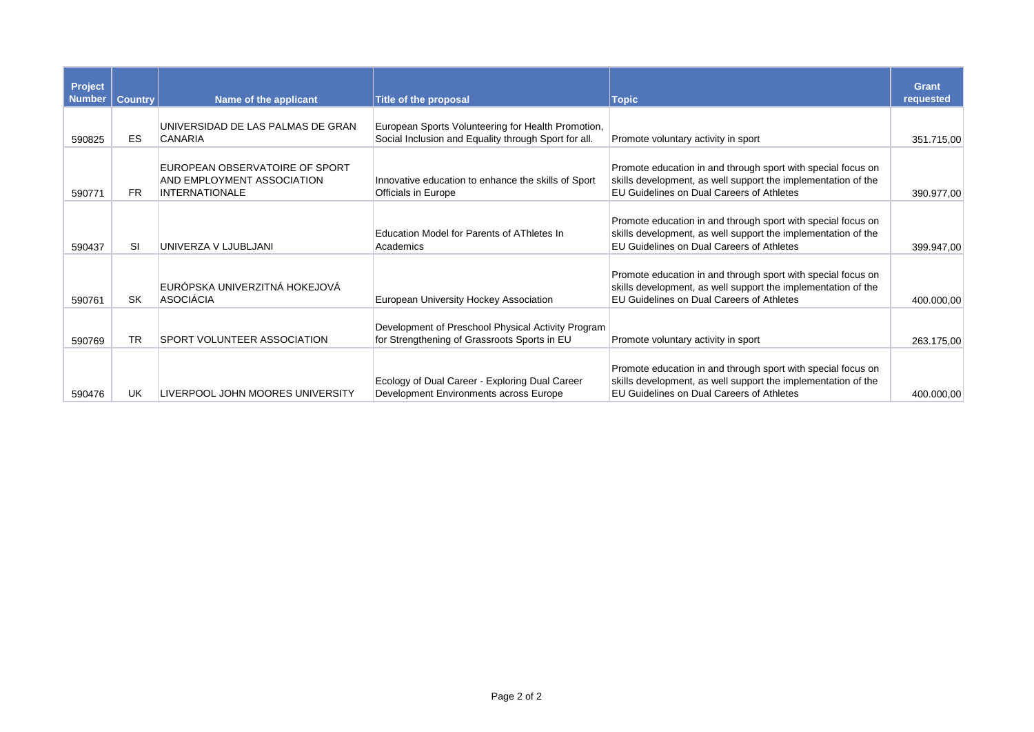| Project<br><b>Number</b> | <b>Country</b> | Name of the applicant                                                                        | <b>Title of the proposal</b>                                                                               | <b>Topic</b>                                                                                                                                                               | <b>Grant</b><br>requested |
|--------------------------|----------------|----------------------------------------------------------------------------------------------|------------------------------------------------------------------------------------------------------------|----------------------------------------------------------------------------------------------------------------------------------------------------------------------------|---------------------------|
| 590825                   | ES             | UNIVERSIDAD DE LAS PALMAS DE GRAN<br>CANARIA                                                 | European Sports Volunteering for Health Promotion,<br>Social Inclusion and Equality through Sport for all. | Promote voluntary activity in sport                                                                                                                                        | 351.715,00                |
| 590771                   | <b>FR</b>      | EUROPEAN OBSERVATOIRE OF SPORT<br><b>AND EMPLOYMENT ASSOCIATION</b><br><b>INTERNATIONALE</b> | Innovative education to enhance the skills of Sport<br>Officials in Europe                                 | Promote education in and through sport with special focus on<br>skills development, as well support the implementation of the<br>EU Guidelines on Dual Careers of Athletes | 390.977,00                |
| 590437                   | <b>SI</b>      | UNIVERZA V LJUBLJANI                                                                         | Education Model for Parents of AThletes In<br>Academics                                                    | Promote education in and through sport with special focus on<br>skills development, as well support the implementation of the<br>EU Guidelines on Dual Careers of Athletes | 399.947,00                |
| 590761                   | SK             | EURÓPSKA UNIVERZITNÁ HOKEJOVÁ<br>ASOCIÁCIA                                                   | European University Hockey Association                                                                     | Promote education in and through sport with special focus on<br>skills development, as well support the implementation of the<br>EU Guidelines on Dual Careers of Athletes | 400.000,00                |
| 590769                   | <b>TR</b>      | <b>SPORT VOLUNTEER ASSOCIATION</b>                                                           | Development of Preschool Physical Activity Program<br>for Strengthening of Grassroots Sports in EU         | Promote voluntary activity in sport                                                                                                                                        | 263.175.00                |
| 590476                   | <b>UK</b>      | LIVERPOOL JOHN MOORES UNIVERSITY                                                             | Ecology of Dual Career - Exploring Dual Career<br>Development Environments across Europe                   | Promote education in and through sport with special focus on<br>skills development, as well support the implementation of the<br>EU Guidelines on Dual Careers of Athletes | 400.000,00                |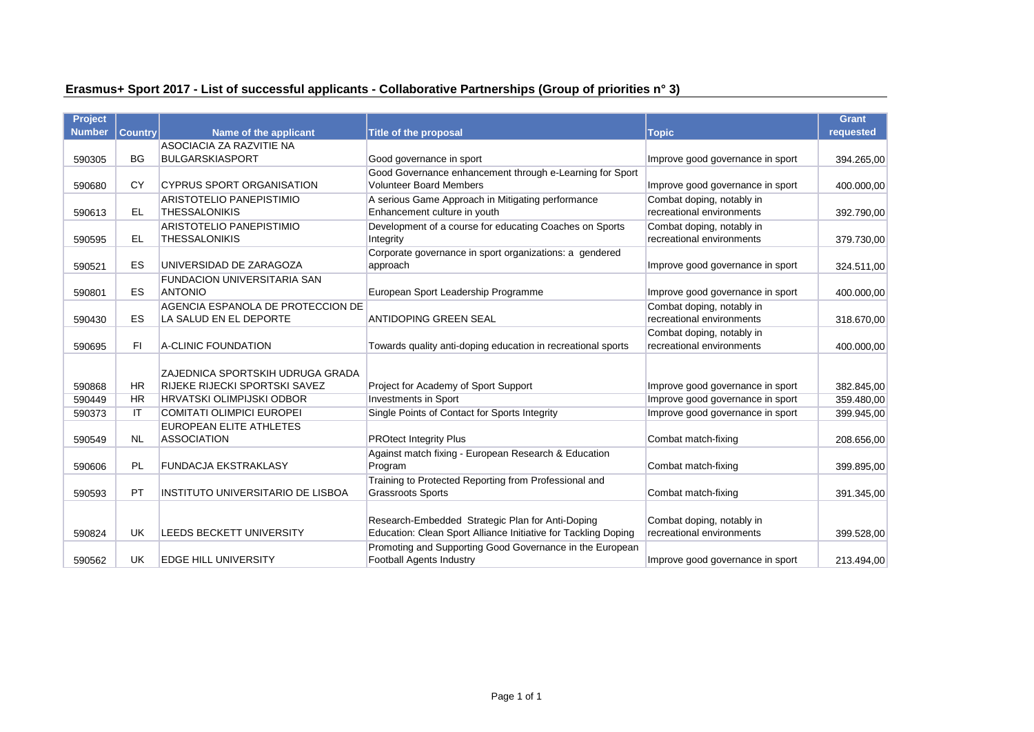## **Erasmus+ Sport 2017 - List of successful applicants - Collaborative Partnerships (Group of priorities n° 3)**

| <b>Project</b> |                |                                   |                                                                |                                  | <b>Grant</b> |
|----------------|----------------|-----------------------------------|----------------------------------------------------------------|----------------------------------|--------------|
| <b>Number</b>  | <b>Country</b> | Name of the applicant             | <b>Title of the proposal</b>                                   | <b>Topic</b>                     | requested    |
|                |                | ASOCIACIA ZA RAZVITIE NA          |                                                                |                                  |              |
| 590305         | <b>BG</b>      | <b>BULGARSKIASPORT</b>            | Good governance in sport                                       | Improve good governance in sport | 394.265,00   |
|                |                |                                   | Good Governance enhancement through e-Learning for Sport       |                                  |              |
| 590680         | <b>CY</b>      | <b>CYPRUS SPORT ORGANISATION</b>  | <b>Volunteer Board Members</b>                                 | Improve good governance in sport | 400.000,00   |
|                |                | ARISTOTELIO PANEPISTIMIO          | A serious Game Approach in Mitigating performance              | Combat doping, notably in        |              |
| 590613         | EL             | <b>THESSALONIKIS</b>              | Enhancement culture in youth                                   | recreational environments        | 392.790,00   |
|                |                | <b>ARISTOTELIO PANEPISTIMIO</b>   | Development of a course for educating Coaches on Sports        | Combat doping, notably in        |              |
| 590595         | EL.            | <b>THESSALONIKIS</b>              | Integrity                                                      | recreational environments        | 379.730,00   |
|                |                |                                   | Corporate governance in sport organizations: a gendered        |                                  |              |
| 590521         | <b>ES</b>      | UNIVERSIDAD DE ZARAGOZA           | approach                                                       | Improve good governance in sport | 324.511,00   |
|                |                | FUNDACION UNIVERSITARIA SAN       |                                                                |                                  |              |
| 590801         | <b>ES</b>      | <b>ANTONIO</b>                    | European Sport Leadership Programme                            | Improve good governance in sport | 400.000,00   |
|                |                | AGENCIA ESPANOLA DE PROTECCION DE |                                                                | Combat doping, notably in        |              |
| 590430         | <b>ES</b>      | LA SALUD EN EL DEPORTE            | <b>ANTIDOPING GREEN SEAL</b>                                   | recreational environments        | 318.670,00   |
|                |                |                                   |                                                                | Combat doping, notably in        |              |
| 590695         | FI.            | A-CLINIC FOUNDATION               | Towards quality anti-doping education in recreational sports   | recreational environments        | 400.000,00   |
|                |                |                                   |                                                                |                                  |              |
|                |                | ZAJEDNICA SPORTSKIH UDRUGA GRADA  |                                                                |                                  |              |
| 590868         | <b>HR</b>      | RIJEKE RIJECKI SPORTSKI SAVEZ     | Project for Academy of Sport Support                           | Improve good governance in sport | 382.845,00   |
| 590449         | <b>HR</b>      | <b>HRVATSKI OLIMPIJSKI ODBOR</b>  | <b>Investments in Sport</b>                                    | Improve good governance in sport | 359.480,00   |
| 590373         | ΙT             | <b>COMITATI OLIMPICI EUROPEI</b>  | Single Points of Contact for Sports Integrity                  | Improve good governance in sport | 399.945,00   |
|                |                | <b>EUROPEAN ELITE ATHLETES</b>    |                                                                |                                  |              |
| 590549         | <b>NL</b>      | <b>ASSOCIATION</b>                | <b>PROtect Integrity Plus</b>                                  | Combat match-fixing              | 208.656,00   |
|                |                |                                   | Against match fixing - European Research & Education           |                                  |              |
| 590606         | <b>PL</b>      | <b>FUNDACJA EKSTRAKLASY</b>       | Program                                                        | Combat match-fixing              | 399.895,00   |
|                |                |                                   | Training to Protected Reporting from Professional and          |                                  |              |
| 590593         | PT             | INSTITUTO UNIVERSITARIO DE LISBOA | <b>Grassroots Sports</b>                                       | Combat match-fixing              | 391.345,00   |
|                |                |                                   |                                                                |                                  |              |
|                |                |                                   | Research-Embedded Strategic Plan for Anti-Doping               | Combat doping, notably in        |              |
| 590824         | UK             | LEEDS BECKETT UNIVERSITY          | Education: Clean Sport Alliance Initiative for Tackling Doping | recreational environments        | 399.528,00   |
|                |                |                                   | Promoting and Supporting Good Governance in the European       |                                  |              |
| 590562         | UK             | <b>EDGE HILL UNIVERSITY</b>       | <b>Football Agents Industry</b>                                | Improve good governance in sport | 213.494,00   |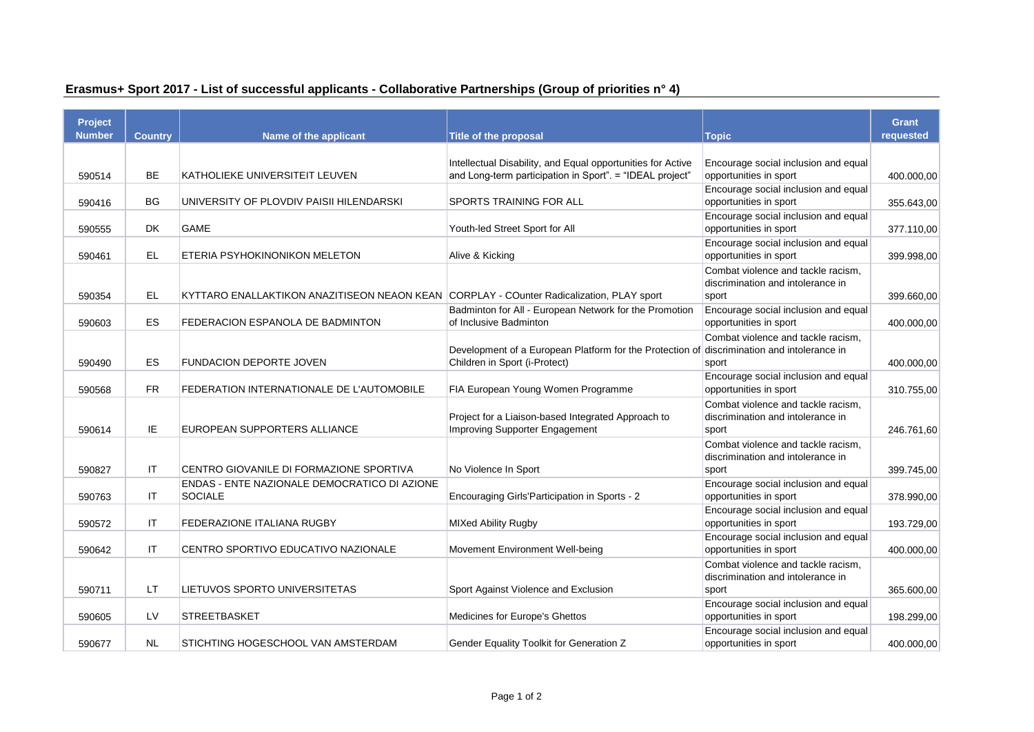| Project       |                |                                                                                          |                                                                                                                         |                                                                                  | <b>Grant</b> |
|---------------|----------------|------------------------------------------------------------------------------------------|-------------------------------------------------------------------------------------------------------------------------|----------------------------------------------------------------------------------|--------------|
| <b>Number</b> | <b>Country</b> | Name of the applicant                                                                    | <b>Title of the proposal</b>                                                                                            | <b>Topic</b>                                                                     | requested    |
| 590514        | BE             | KATHOLIEKE UNIVERSITEIT LEUVEN                                                           | Intellectual Disability, and Equal opportunities for Active<br>and Long-term participation in Sport". = "IDEAL project" | Encourage social inclusion and equal<br>opportunities in sport                   | 400.000,00   |
| 590416        | BG             | UNIVERSITY OF PLOVDIV PAISII HILENDARSKI                                                 | SPORTS TRAINING FOR ALL                                                                                                 | Encourage social inclusion and equal<br>opportunities in sport                   | 355.643,00   |
| 590555        | DK             | <b>GAME</b>                                                                              | Youth-led Street Sport for All                                                                                          | Encourage social inclusion and equal<br>opportunities in sport                   | 377.110,00   |
| 590461        | <b>EL</b>      | ETERIA PSYHOKINONIKON MELETON                                                            | Alive & Kicking                                                                                                         | Encourage social inclusion and equal<br>opportunities in sport                   | 399.998,00   |
| 590354        | EL             | KYTTARO ENALLAKTIKON ANAZITISEON NEAON KEAN CORPLAY - COunter Radicalization, PLAY sport |                                                                                                                         | Combat violence and tackle racism,<br>discrimination and intolerance in<br>sport | 399.660,00   |
| 590603        | ES             | FEDERACION ESPANOLA DE BADMINTON                                                         | Badminton for All - European Network for the Promotion<br>of Inclusive Badminton                                        | Encourage social inclusion and equal<br>opportunities in sport                   | 400.000,00   |
| 590490        | ES             | <b>FUNDACION DEPORTE JOVEN</b>                                                           | Development of a European Platform for the Protection of<br>Children in Sport (i-Protect)                               | Combat violence and tackle racism,<br>discrimination and intolerance in<br>sport | 400.000,00   |
| 590568        | <b>FR</b>      | FEDERATION INTERNATIONALE DE L'AUTOMOBILE                                                | FIA European Young Women Programme                                                                                      | Encourage social inclusion and equal<br>opportunities in sport                   | 310.755,00   |
| 590614        | IE.            | EUROPEAN SUPPORTERS ALLIANCE                                                             | Project for a Liaison-based Integrated Approach to<br><b>Improving Supporter Engagement</b>                             | Combat violence and tackle racism,<br>discrimination and intolerance in<br>sport | 246.761,60   |
| 590827        | IT             | CENTRO GIOVANILE DI FORMAZIONE SPORTIVA                                                  | No Violence In Sport                                                                                                    | Combat violence and tackle racism,<br>discrimination and intolerance in<br>sport | 399.745,00   |
| 590763        | ΙT             | ENDAS - ENTE NAZIONALE DEMOCRATICO DI AZIONE<br><b>SOCIALE</b>                           | Encouraging Girls'Participation in Sports - 2                                                                           | Encourage social inclusion and equal<br>opportunities in sport                   | 378.990,00   |
| 590572        | IT             | FEDERAZIONE ITALIANA RUGBY                                                               | <b>MIXed Ability Rugby</b>                                                                                              | Encourage social inclusion and equal<br>opportunities in sport                   | 193.729,00   |
| 590642        | IT             | CENTRO SPORTIVO EDUCATIVO NAZIONALE                                                      | Movement Environment Well-being                                                                                         | Encourage social inclusion and equal<br>opportunities in sport                   | 400.000,00   |
| 590711        | LT.            | LIETUVOS SPORTO UNIVERSITETAS                                                            | Sport Against Violence and Exclusion                                                                                    | Combat violence and tackle racism,<br>discrimination and intolerance in<br>sport | 365.600,00   |
| 590605        | LV             | <b>STREETBASKET</b>                                                                      | Medicines for Europe's Ghettos                                                                                          | Encourage social inclusion and equal<br>opportunities in sport                   | 198.299,00   |
| 590677        | NL.            | STICHTING HOGESCHOOL VAN AMSTERDAM                                                       | Gender Equality Toolkit for Generation Z                                                                                | Encourage social inclusion and equal<br>opportunities in sport                   | 400.000,00   |

## **Erasmus+ Sport 2017 - List of successful applicants - Collaborative Partnerships (Group of priorities n° 4)**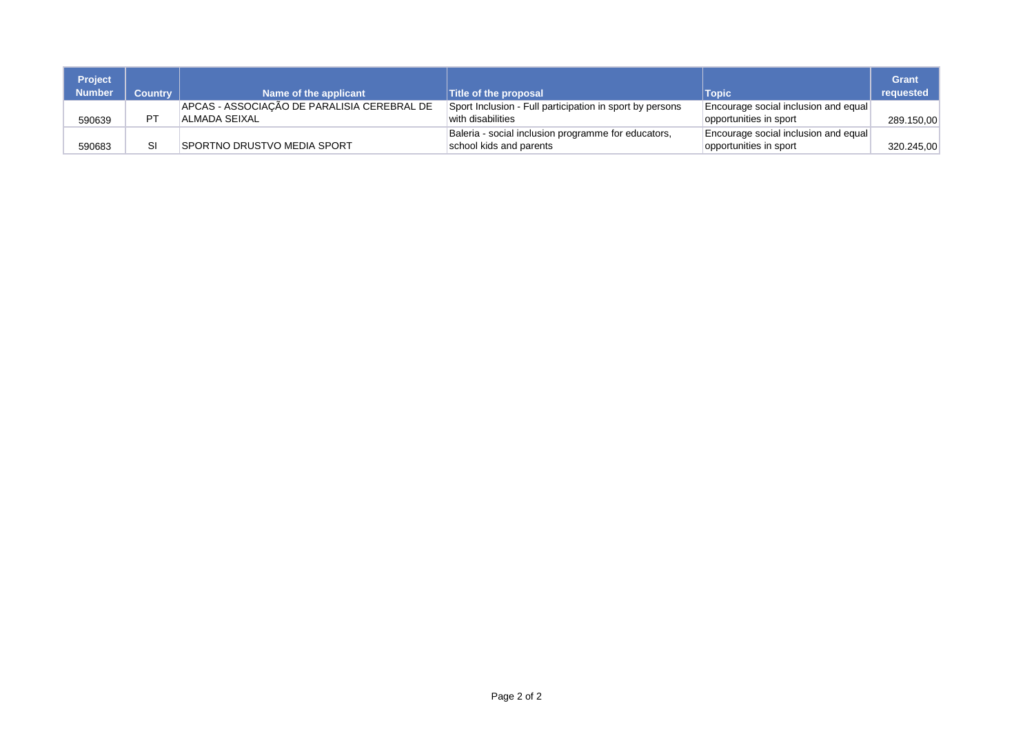| <b>Project</b><br><b>Number</b> | <b>Country</b> | Name of the applicant                       | <b>Title of the proposal</b>                             | <b>Topic</b>                         | Grant<br>requested |
|---------------------------------|----------------|---------------------------------------------|----------------------------------------------------------|--------------------------------------|--------------------|
|                                 | DТ             | APCAS - ASSOCIAÇÃO DE PARALISIA CEREBRAL DE | Sport Inclusion - Full participation in sport by persons | Encourage social inclusion and equal |                    |
| 590639                          |                | ALMADA SEIXAL                               | with disabilities                                        | opportunities in sport               | 289.150,00         |
|                                 |                |                                             | Baleria - social inclusion programme for educators,      | Encourage social inclusion and equal |                    |
| 590683                          |                | <b>SPORTNO DRUSTVO MEDIA SPORT</b>          | school kids and parents                                  | opportunities in sport               | 320.245,00         |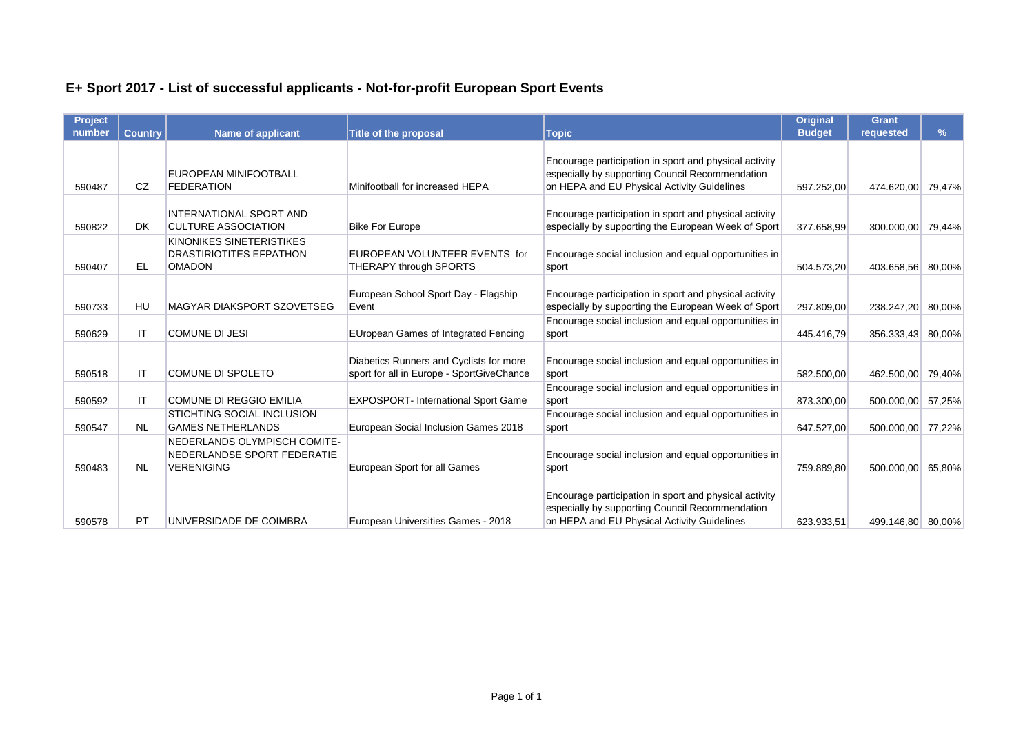# **E+ Sport 2017 - List of successful applicants - Not-for-profit European Sport Events**

| <b>Project</b><br>number | <b>Country</b> | <b>Name of applicant</b>                                                         | <b>Title of the proposal</b>                                                         | Topic                                                                                                                                                    | <b>Original</b><br><b>Budget</b> | <b>Grant</b><br>requested | $\%$ |
|--------------------------|----------------|----------------------------------------------------------------------------------|--------------------------------------------------------------------------------------|----------------------------------------------------------------------------------------------------------------------------------------------------------|----------------------------------|---------------------------|------|
|                          |                |                                                                                  |                                                                                      |                                                                                                                                                          |                                  |                           |      |
| 590487                   | <b>CZ</b>      | EUROPEAN MINIFOOTBALL<br><b>FEDERATION</b>                                       | Minifootball for increased HEPA                                                      | Encourage participation in sport and physical activity<br>especially by supporting Council Recommendation<br>on HEPA and EU Physical Activity Guidelines | 597.252.00                       | 474.620,00 79,47%         |      |
| 590822                   | DK.            | <b>INTERNATIONAL SPORT AND</b><br><b>CULTURE ASSOCIATION</b>                     | <b>Bike For Europe</b>                                                               | Encourage participation in sport and physical activity<br>especially by supporting the European Week of Sport                                            | 377.658,99                       | 300.000,00 79,44%         |      |
| 590407                   | <b>EL</b>      | KINONIKES SINETERISTIKES<br><b>DRASTIRIOTITES EFPATHON</b><br><b>OMADON</b>      | EUROPEAN VOLUNTEER EVENTS for<br>THERAPY through SPORTS                              | Encourage social inclusion and equal opportunities in<br>sport                                                                                           | 504.573,20                       | 403.658,56 80,00%         |      |
| 590733                   | HU             | <b>MAGYAR DIAKSPORT SZOVETSEG</b>                                                | European School Sport Day - Flagship<br>Event                                        | Encourage participation in sport and physical activity<br>especially by supporting the European Week of Sport                                            | 297.809.00                       | 238.247,20 80,00%         |      |
| 590629                   | ΙT             | <b>COMUNE DI JESI</b>                                                            | <b>EUropean Games of Integrated Fencing</b>                                          | Encourage social inclusion and equal opportunities in<br>sport                                                                                           | 445.416,79                       | 356.333,43 80,00%         |      |
| 590518                   | ΙT             | <b>COMUNE DI SPOLETO</b>                                                         | Diabetics Runners and Cyclists for more<br>sport for all in Europe - SportGiveChance | Encourage social inclusion and equal opportunities in<br>sport                                                                                           | 582.500,00                       | 462.500,00 79,40%         |      |
| 590592                   | IT             | <b>COMUNE DI REGGIO EMILIA</b>                                                   | <b>EXPOSPORT- International Sport Game</b>                                           | Encourage social inclusion and equal opportunities in<br>sport                                                                                           | 873.300,00                       | 500.000,00 57,25%         |      |
| 590547                   | <b>NL</b>      | <b>STICHTING SOCIAL INCLUSION</b><br><b>GAMES NETHERLANDS</b>                    | European Social Inclusion Games 2018                                                 | Encourage social inclusion and equal opportunities in<br>sport                                                                                           | 647.527,00                       | 500.000,00 77,22%         |      |
| 590483                   | <b>NL</b>      | NEDERLANDS OLYMPISCH COMITE-<br>NEDERLANDSE SPORT FEDERATIE<br><b>VERENIGING</b> | European Sport for all Games                                                         | Encourage social inclusion and equal opportunities in<br>sport                                                                                           | 759.889.80                       | 500.000,00 65,80%         |      |
| 590578                   | PT             | UNIVERSIDADE DE COIMBRA                                                          | European Universities Games - 2018                                                   | Encourage participation in sport and physical activity<br>especially by supporting Council Recommendation<br>on HEPA and EU Physical Activity Guidelines | 623.933.51                       | 499.146.80 80.00%         |      |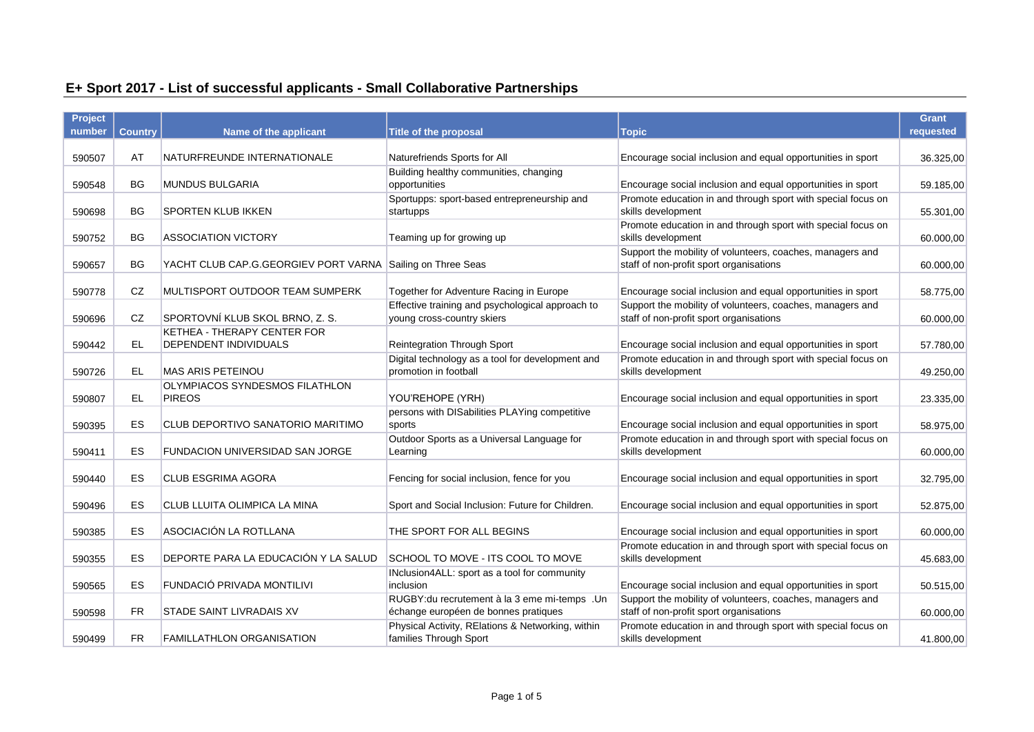# **E+ Sport 2017 - List of successful applicants - Small Collaborative Partnerships**

| <b>Project</b> |                |                                                            |                                                           |                                                                                    | <b>Grant</b> |
|----------------|----------------|------------------------------------------------------------|-----------------------------------------------------------|------------------------------------------------------------------------------------|--------------|
| number         | <b>Country</b> | Name of the applicant                                      | <b>Title of the proposal</b>                              | <b>Topic</b>                                                                       | requested    |
|                |                |                                                            |                                                           |                                                                                    |              |
| 590507         | AT             | NATURFREUNDE INTERNATIONALE                                | Naturefriends Sports for All                              | Encourage social inclusion and equal opportunities in sport                        | 36.325,00    |
|                |                |                                                            | Building healthy communities, changing                    |                                                                                    |              |
| 590548         | <b>BG</b>      | <b>MUNDUS BULGARIA</b>                                     | opportunities                                             | Encourage social inclusion and equal opportunities in sport                        | 59.185,00    |
| 590698         | <b>BG</b>      | <b>SPORTEN KLUB IKKEN</b>                                  | Sportupps: sport-based entrepreneurship and<br>startupps  | Promote education in and through sport with special focus on<br>skills development | 55.301,00    |
|                |                |                                                            |                                                           | Promote education in and through sport with special focus on                       |              |
| 590752         | <b>BG</b>      | <b>ASSOCIATION VICTORY</b>                                 | Teaming up for growing up                                 | skills development                                                                 | 60.000,00    |
|                |                |                                                            |                                                           | Support the mobility of volunteers, coaches, managers and                          |              |
| 590657         | <b>BG</b>      | YACHT CLUB CAP.G.GEORGIEV PORT VARNA Sailing on Three Seas |                                                           | staff of non-profit sport organisations                                            | 60.000,00    |
|                |                |                                                            |                                                           |                                                                                    |              |
| 590778         | CZ             | MULTISPORT OUTDOOR TEAM SUMPERK                            | Together for Adventure Racing in Europe                   | Encourage social inclusion and equal opportunities in sport                        | 58.775,00    |
|                |                |                                                            | Effective training and psychological approach to          | Support the mobility of volunteers, coaches, managers and                          |              |
| 590696         | CZ             | SPORTOVNÍ KLUB SKOL BRNO, Z. S.                            | young cross-country skiers                                | staff of non-profit sport organisations                                            | 60.000,00    |
|                |                | KETHEA - THERAPY CENTER FOR                                |                                                           |                                                                                    |              |
| 590442         | EL.            | DEPENDENT INDIVIDUALS                                      | <b>Reintegration Through Sport</b>                        | Encourage social inclusion and equal opportunities in sport                        | 57.780,00    |
|                |                |                                                            | Digital technology as a tool for development and          | Promote education in and through sport with special focus on                       |              |
| 590726         | EL.            | MAS ARIS PETEINOU<br>OLYMPIACOS SYNDESMOS FILATHLON        | promotion in football                                     | skills development                                                                 | 49.250,00    |
| 590807         | EL.            | <b>PIREOS</b>                                              | YOU'REHOPE (YRH)                                          | Encourage social inclusion and equal opportunities in sport                        | 23.335,00    |
|                |                |                                                            | persons with DISabilities PLAYing competitive             |                                                                                    |              |
| 590395         | ES             | CLUB DEPORTIVO SANATORIO MARITIMO                          | sports                                                    | Encourage social inclusion and equal opportunities in sport                        | 58.975,00    |
|                |                |                                                            | Outdoor Sports as a Universal Language for                | Promote education in and through sport with special focus on                       |              |
| 590411         | ES             | FUNDACION UNIVERSIDAD SAN JORGE                            | Learning                                                  | skills development                                                                 | 60.000,00    |
|                |                |                                                            |                                                           |                                                                                    |              |
| 590440         | ES             | <b>CLUB ESGRIMA AGORA</b>                                  | Fencing for social inclusion, fence for you               | Encourage social inclusion and equal opportunities in sport                        | 32.795,00    |
|                |                |                                                            |                                                           |                                                                                    |              |
| 590496         | ES             | CLUB LLUITA OLIMPICA LA MINA                               | Sport and Social Inclusion: Future for Children.          | Encourage social inclusion and equal opportunities in sport                        | 52.875,00    |
|                |                |                                                            |                                                           |                                                                                    |              |
| 590385         | ES             | ASOCIACIÓN LA ROTLLANA                                     | THE SPORT FOR ALL BEGINS                                  | Encourage social inclusion and equal opportunities in sport                        | 60.000,00    |
|                |                | DEPORTE PARA LA EDUCACIÓN Y LA SALUD                       |                                                           | Promote education in and through sport with special focus on                       |              |
| 590355         | ES             |                                                            | SCHOOL TO MOVE - ITS COOL TO MOVE                         | skills development                                                                 | 45.683,00    |
| 590565         | ES             | FUNDACIÓ PRIVADA MONTILIVI                                 | INclusion4ALL: sport as a tool for community<br>inclusion | Encourage social inclusion and equal opportunities in sport                        | 50.515,00    |
|                |                |                                                            | RUGBY: du recrutement à la 3 eme mi-temps . Un            | Support the mobility of volunteers, coaches, managers and                          |              |
| 590598         | <b>FR</b>      | STADE SAINT LIVRADAIS XV                                   | échange européen de bonnes pratiques                      | staff of non-profit sport organisations                                            | 60.000,00    |
|                |                |                                                            | Physical Activity, RElations & Networking, within         | Promote education in and through sport with special focus on                       |              |
| 590499         | <b>FR</b>      | <b>FAMILLATHLON ORGANISATION</b>                           | families Through Sport                                    | skills development                                                                 | 41.800,00    |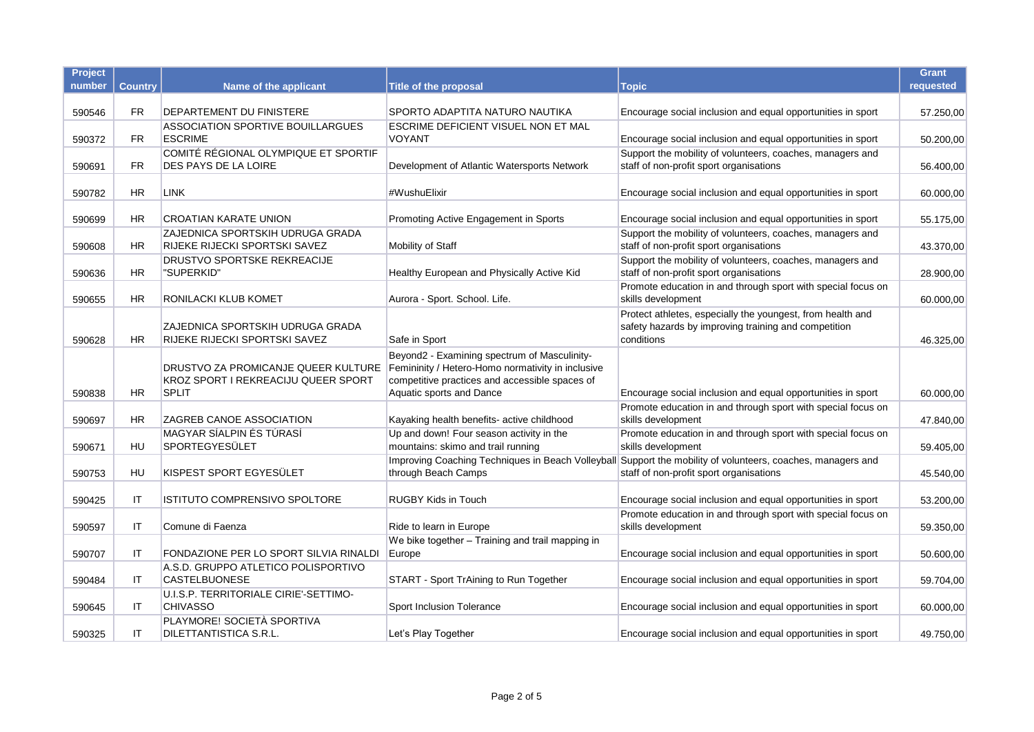| Project |                |                                                                                            |                                                                                                                                                                                 |                                                                                                                                                        | <b>Grant</b> |
|---------|----------------|--------------------------------------------------------------------------------------------|---------------------------------------------------------------------------------------------------------------------------------------------------------------------------------|--------------------------------------------------------------------------------------------------------------------------------------------------------|--------------|
| number  | <b>Country</b> | Name of the applicant                                                                      | Title of the proposal                                                                                                                                                           | <b>Topic</b>                                                                                                                                           | requested    |
| 590546  | <b>FR</b>      | DEPARTEMENT DU FINISTERE                                                                   | SPORTO ADAPTITA NATURO NAUTIKA                                                                                                                                                  | Encourage social inclusion and equal opportunities in sport                                                                                            | 57.250,00    |
| 590372  | <b>FR</b>      | <b>ASSOCIATION SPORTIVE BOUILLARGUES</b><br><b>ESCRIME</b>                                 | ESCRIME DEFICIENT VISUEL NON ET MAL<br>VOYANT                                                                                                                                   | Encourage social inclusion and equal opportunities in sport                                                                                            | 50.200,00    |
|         |                | COMITÉ RÉGIONAL OLYMPIQUE ET SPORTIF                                                       |                                                                                                                                                                                 | Support the mobility of volunteers, coaches, managers and                                                                                              |              |
| 590691  | FR.            | DES PAYS DE LA LOIRE                                                                       | Development of Atlantic Watersports Network                                                                                                                                     | staff of non-profit sport organisations                                                                                                                | 56.400,00    |
| 590782  | <b>HR</b>      | <b>LINK</b>                                                                                | #WushuElixir                                                                                                                                                                    | Encourage social inclusion and equal opportunities in sport                                                                                            | 60.000,00    |
| 590699  | <b>HR</b>      | <b>CROATIAN KARATE UNION</b>                                                               | Promoting Active Engagement in Sports                                                                                                                                           | Encourage social inclusion and equal opportunities in sport                                                                                            | 55.175,00    |
| 590608  | HR             | ZAJEDNICA SPORTSKIH UDRUGA GRADA<br>RIJEKE RIJECKI SPORTSKI SAVEZ                          | Mobility of Staff                                                                                                                                                               | Support the mobility of volunteers, coaches, managers and<br>staff of non-profit sport organisations                                                   | 43.370,00    |
| 590636  | HR.            | <b>DRUSTVO SPORTSKE REKREACIJE</b><br>"SUPERKID"                                           | Healthy European and Physically Active Kid                                                                                                                                      | Support the mobility of volunteers, coaches, managers and<br>staff of non-profit sport organisations                                                   | 28.900,00    |
| 590655  | <b>HR</b>      | RONILACKI KLUB KOMET                                                                       | Aurora - Sport. School. Life.                                                                                                                                                   | Promote education in and through sport with special focus on<br>skills development                                                                     | 60.000,00    |
| 590628  | <b>HR</b>      | ZAJEDNICA SPORTSKIH UDRUGA GRADA<br>RIJEKE RIJECKI SPORTSKI SAVEZ                          | Safe in Sport                                                                                                                                                                   | Protect athletes, especially the youngest, from health and<br>safety hazards by improving training and competition<br>conditions                       | 46.325,00    |
| 590838  | <b>HR</b>      | DRUSTVO ZA PROMICANJE QUEER KULTURE<br>KROZ SPORT I REKREACIJU QUEER SPORT<br><b>SPLIT</b> | Beyond2 - Examining spectrum of Masculinity-<br>Femininity / Hetero-Homo normativity in inclusive<br>competitive practices and accessible spaces of<br>Aquatic sports and Dance | Encourage social inclusion and equal opportunities in sport                                                                                            | 60.000.00    |
| 590697  | <b>HR</b>      | ZAGREB CANOE ASSOCIATION                                                                   | Kayaking health benefits- active childhood                                                                                                                                      | Promote education in and through sport with special focus on<br>skills development                                                                     | 47.840,00    |
| 590671  | HU             | MAGYAR SÍALPIN ÉS TÚRASÍ<br>SPORTEGYESÜLET                                                 | Up and down! Four season activity in the<br>mountains: skimo and trail running                                                                                                  | Promote education in and through sport with special focus on<br>skills development                                                                     | 59.405,00    |
| 590753  | HU             | KISPEST SPORT EGYESÜLET                                                                    | through Beach Camps                                                                                                                                                             | Improving Coaching Techniques in Beach Volleyball Support the mobility of volunteers, coaches, managers and<br>staff of non-profit sport organisations | 45.540,00    |
| 590425  | ΙT             | ISTITUTO COMPRENSIVO SPOLTORE                                                              | <b>RUGBY Kids in Touch</b>                                                                                                                                                      | Encourage social inclusion and equal opportunities in sport                                                                                            | 53.200,00    |
| 590597  | IT             | Comune di Faenza                                                                           | Ride to learn in Europe                                                                                                                                                         | Promote education in and through sport with special focus on<br>skills development                                                                     | 59.350,00    |
| 590707  | ΙT             | FONDAZIONE PER LO SPORT SILVIA RINALDI                                                     | We bike together - Training and trail mapping in<br>Europe                                                                                                                      | Encourage social inclusion and equal opportunities in sport                                                                                            | 50.600,00    |
|         |                | A.S.D. GRUPPO ATLETICO POLISPORTIVO                                                        |                                                                                                                                                                                 |                                                                                                                                                        |              |
| 590484  | ΙT             | <b>CASTELBUONESE</b>                                                                       | START - Sport TrAining to Run Together                                                                                                                                          | Encourage social inclusion and equal opportunities in sport                                                                                            | 59.704,00    |
| 590645  | ΙT             | U.I.S.P. TERRITORIALE CIRIE'-SETTIMO-<br><b>CHIVASSO</b>                                   | Sport Inclusion Tolerance                                                                                                                                                       | Encourage social inclusion and equal opportunities in sport                                                                                            | 60.000,00    |
| 590325  | IT             | PLAYMORE! SOCIETÀ SPORTIVA<br>DILETTANTISTICA S.R.L.                                       | Let's Play Together                                                                                                                                                             | Encourage social inclusion and equal opportunities in sport                                                                                            | 49.750,00    |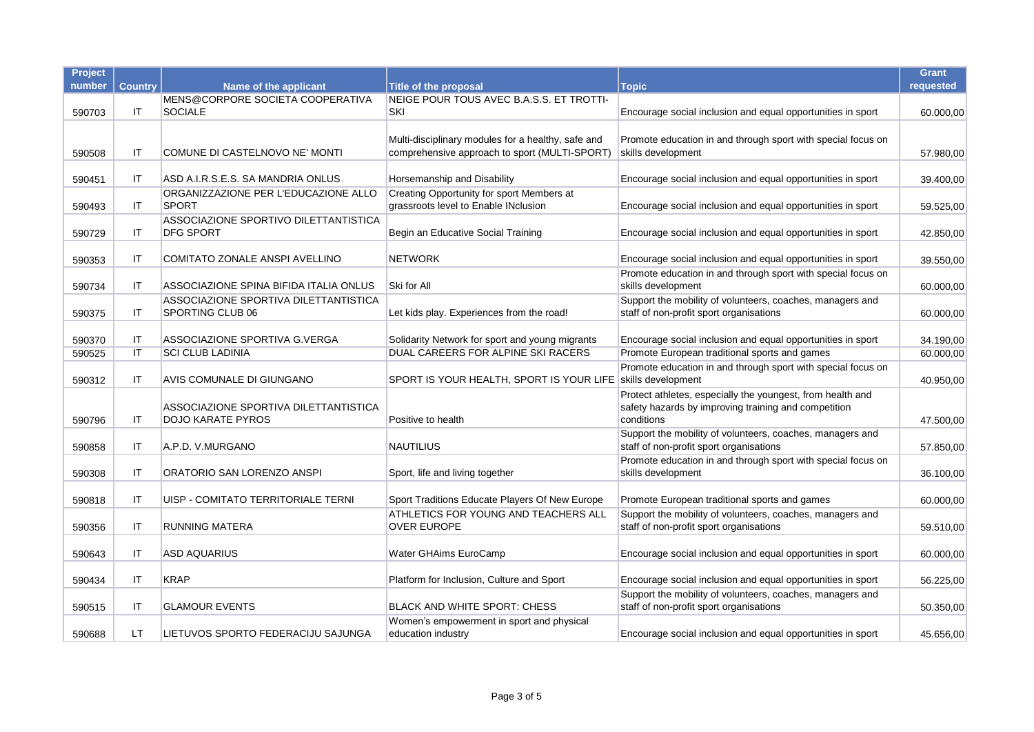| Project |                |                                        |                                                    |                                                                                                      | <b>Grant</b> |
|---------|----------------|----------------------------------------|----------------------------------------------------|------------------------------------------------------------------------------------------------------|--------------|
| number  | <b>Country</b> | Name of the applicant                  | <b>Title of the proposal</b>                       | <b>Topic</b>                                                                                         | requested    |
|         |                | MENS@CORPORE SOCIETA COOPERATIVA       | NEIGE POUR TOUS AVEC B.A.S.S. ET TROTTI-           |                                                                                                      |              |
| 590703  | ΙT             | <b>SOCIALE</b>                         | SKI                                                | Encourage social inclusion and equal opportunities in sport                                          | 60.000,00    |
|         |                |                                        |                                                    |                                                                                                      |              |
|         |                |                                        | Multi-disciplinary modules for a healthy, safe and | Promote education in and through sport with special focus on                                         |              |
| 590508  | ΙT             | COMUNE DI CASTELNOVO NE' MONTI         | comprehensive approach to sport (MULTI-SPORT)      | skills development                                                                                   | 57.980,00    |
| 590451  | IT             | ASD A.I.R.S.E.S. SA MANDRIA ONLUS      | Horsemanship and Disability                        | Encourage social inclusion and equal opportunities in sport                                          | 39.400,00    |
|         |                | ORGANIZZAZIONE PER L'EDUCAZIONE ALLO   | Creating Opportunity for sport Members at          |                                                                                                      |              |
| 590493  | ΙT             | <b>SPORT</b>                           | grassroots level to Enable INclusion               | Encourage social inclusion and equal opportunities in sport                                          | 59.525,00    |
|         |                | ASSOCIAZIONE SPORTIVO DILETTANTISTICA  |                                                    |                                                                                                      |              |
| 590729  | IT             | <b>DFG SPORT</b>                       | Begin an Educative Social Training                 | Encourage social inclusion and equal opportunities in sport                                          | 42.850,00    |
| 590353  | ΙT             | COMITATO ZONALE ANSPI AVELLINO         | <b>NETWORK</b>                                     | Encourage social inclusion and equal opportunities in sport                                          | 39.550,00    |
|         |                |                                        |                                                    | Promote education in and through sport with special focus on                                         |              |
| 590734  | ΙT             | ASSOCIAZIONE SPINA BIFIDA ITALIA ONLUS | Ski for All                                        | skills development                                                                                   | 60.000,00    |
|         |                | ASSOCIAZIONE SPORTIVA DILETTANTISTICA  |                                                    | Support the mobility of volunteers, coaches, managers and                                            |              |
| 590375  | IT             | SPORTING CLUB 06                       | Let kids play. Experiences from the road!          | staff of non-profit sport organisations                                                              | 60.000,00    |
|         |                |                                        |                                                    |                                                                                                      |              |
| 590370  | ΙT             | ASSOCIAZIONE SPORTIVA G.VERGA          | Solidarity Network for sport and young migrants    | Encourage social inclusion and equal opportunities in sport                                          | 34.190,00    |
| 590525  | ΙT             | <b>SCI CLUB LADINIA</b>                | DUAL CAREERS FOR ALPINE SKI RACERS                 | Promote European traditional sports and games                                                        | 60.000,00    |
|         |                |                                        |                                                    | Promote education in and through sport with special focus on                                         |              |
| 590312  | IT             | AVIS COMUNALE DI GIUNGANO              | SPORT IS YOUR HEALTH, SPORT IS YOUR LIFE           | skills development                                                                                   | 40.950,00    |
|         |                | ASSOCIAZIONE SPORTIVA DILETTANTISTICA  |                                                    | Protect athletes, especially the youngest, from health and                                           |              |
| 590796  | ΙT             | DOJO KARATE PYROS                      | Positive to health                                 | safety hazards by improving training and competition<br>conditions                                   | 47.500,00    |
|         |                |                                        |                                                    | Support the mobility of volunteers, coaches, managers and                                            |              |
| 590858  | ΙT             | A.P.D. V.MURGANO                       | <b>NAUTILIUS</b>                                   | staff of non-profit sport organisations                                                              | 57.850,00    |
|         |                |                                        |                                                    | Promote education in and through sport with special focus on                                         |              |
| 590308  | ΙT             | ORATORIO SAN LORENZO ANSPI             | Sport, life and living together                    | skills development                                                                                   | 36.100,00    |
|         |                |                                        |                                                    |                                                                                                      |              |
| 590818  | IT             | UISP - COMITATO TERRITORIALE TERNI     | Sport Traditions Educate Players Of New Europe     | Promote European traditional sports and games                                                        | 60.000,00    |
|         |                |                                        | ATHLETICS FOR YOUNG AND TEACHERS ALL               | Support the mobility of volunteers, coaches, managers and                                            |              |
| 590356  | ΙT             | <b>RUNNING MATERA</b>                  | <b>OVER EUROPE</b>                                 | staff of non-profit sport organisations                                                              | 59.510,00    |
|         |                |                                        |                                                    |                                                                                                      |              |
| 590643  | IT             | <b>ASD AQUARIUS</b>                    | Water GHAims EuroCamp                              | Encourage social inclusion and equal opportunities in sport                                          | 60.000,00    |
|         |                |                                        |                                                    |                                                                                                      |              |
| 590434  | IT             | <b>KRAP</b>                            | Platform for Inclusion, Culture and Sport          | Encourage social inclusion and equal opportunities in sport                                          | 56.225,00    |
| 590515  | ΙT             | <b>GLAMOUR EVENTS</b>                  | <b>BLACK AND WHITE SPORT: CHESS</b>                | Support the mobility of volunteers, coaches, managers and<br>staff of non-profit sport organisations | 50.350,00    |
|         |                |                                        | Women's empowerment in sport and physical          |                                                                                                      |              |
| 590688  | LT             | LIETUVOS SPORTO FEDERACIJU SAJUNGA     | education industry                                 | Encourage social inclusion and equal opportunities in sport                                          | 45.656,00    |
|         |                |                                        |                                                    |                                                                                                      |              |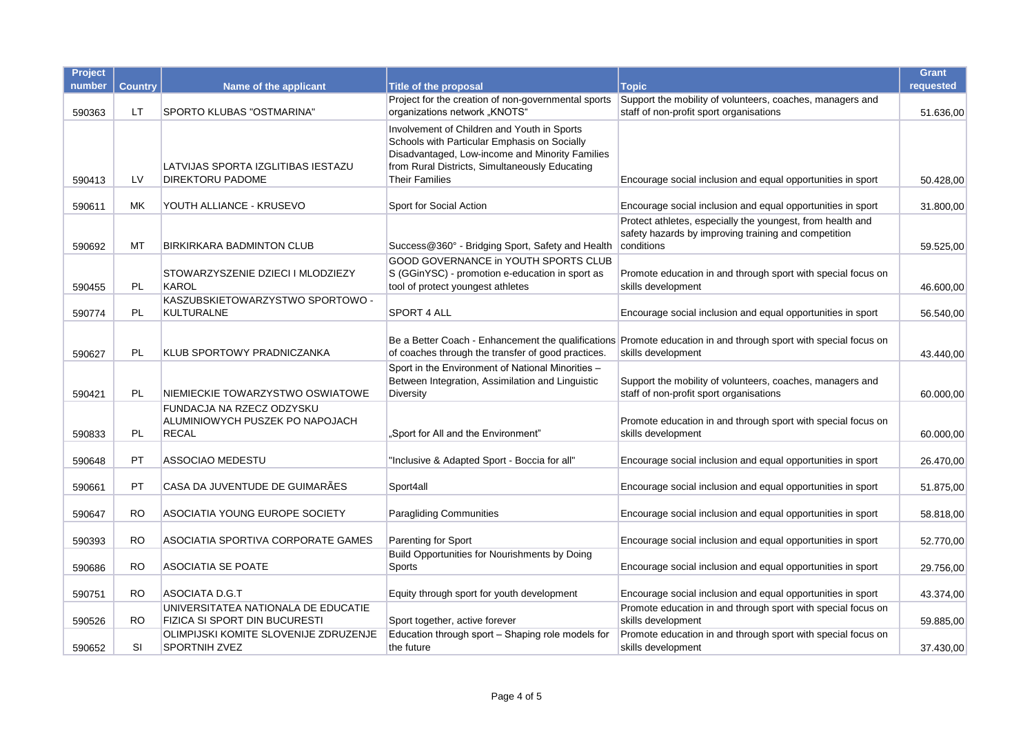| Project |                |                                                                              |                                                                                                                                                                                                                           |                                                                                                                                       | <b>Grant</b> |
|---------|----------------|------------------------------------------------------------------------------|---------------------------------------------------------------------------------------------------------------------------------------------------------------------------------------------------------------------------|---------------------------------------------------------------------------------------------------------------------------------------|--------------|
| number  | <b>Country</b> | Name of the applicant                                                        | <b>Title of the proposal</b>                                                                                                                                                                                              | Topic                                                                                                                                 | requested    |
| 590363  | LT             | SPORTO KLUBAS "OSTMARINA"                                                    | Project for the creation of non-governmental sports<br>organizations network "KNOTS"                                                                                                                                      | Support the mobility of volunteers, coaches, managers and<br>staff of non-profit sport organisations                                  | 51.636,00    |
| 590413  | LV             | LATVIJAS SPORTA IZGLITIBAS IESTAZU<br><b>DIREKTORU PADOME</b>                | Involvement of Children and Youth in Sports<br>Schools with Particular Emphasis on Socially<br>Disadvantaged, Low-income and Minority Families<br>from Rural Districts, Simultaneously Educating<br><b>Their Families</b> | Encourage social inclusion and equal opportunities in sport                                                                           | 50.428,00    |
| 590611  | <b>MK</b>      | YOUTH ALLIANCE - KRUSEVO                                                     | Sport for Social Action                                                                                                                                                                                                   | Encourage social inclusion and equal opportunities in sport                                                                           | 31.800,00    |
| 590692  | МT             | BIRKIRKARA BADMINTON CLUB                                                    | Success@360° - Bridging Sport, Safety and Health                                                                                                                                                                          | Protect athletes, especially the youngest, from health and<br>safety hazards by improving training and competition<br>conditions      | 59.525,00    |
| 590455  | PL.            | STOWARZYSZENIE DZIECI I MLODZIEZY<br>KAROL                                   | GOOD GOVERNANCE in YOUTH SPORTS CLUB<br>S (GGinYSC) - promotion e-education in sport as<br>tool of protect youngest athletes                                                                                              | Promote education in and through sport with special focus on<br>skills development                                                    | 46.600,00    |
| 590774  | PL             | KASZUBSKIETOWARZYSTWO SPORTOWO -<br><b>KULTURALNE</b>                        | <b>SPORT 4 ALL</b>                                                                                                                                                                                                        | Encourage social inclusion and equal opportunities in sport                                                                           | 56.540,00    |
| 590627  | PL             | KLUB SPORTOWY PRADNICZANKA                                                   | of coaches through the transfer of good practices.                                                                                                                                                                        | Be a Better Coach - Enhancement the qualifications Promote education in and through sport with special focus on<br>skills development | 43.440,00    |
| 590421  | <b>PL</b>      | NIEMIECKIE TOWARZYSTWO OSWIATOWE                                             | Sport in the Environment of National Minorities -<br>Between Integration, Assimilation and Linguistic<br>Diversity                                                                                                        | Support the mobility of volunteers, coaches, managers and<br>staff of non-profit sport organisations                                  | 60.000,00    |
| 590833  | <b>PL</b>      | FUNDACJA NA RZECZ ODZYSKU<br>ALUMINIOWYCH PUSZEK PO NAPOJACH<br><b>RECAL</b> | "Sport for All and the Environment"                                                                                                                                                                                       | Promote education in and through sport with special focus on<br>skills development                                                    | 60.000,00    |
| 590648  | <b>PT</b>      | <b>ASSOCIAO MEDESTU</b>                                                      | "Inclusive & Adapted Sport - Boccia for all"                                                                                                                                                                              | Encourage social inclusion and equal opportunities in sport                                                                           | 26.470,00    |
| 590661  | PT             | CASA DA JUVENTUDE DE GUIMARÃES                                               | Sport4all                                                                                                                                                                                                                 | Encourage social inclusion and equal opportunities in sport                                                                           | 51.875,00    |
| 590647  | <b>RO</b>      | ASOCIATIA YOUNG EUROPE SOCIETY                                               | <b>Paragliding Communities</b>                                                                                                                                                                                            | Encourage social inclusion and equal opportunities in sport                                                                           | 58.818,00    |
| 590393  | <b>RO</b>      | ASOCIATIA SPORTIVA CORPORATE GAMES                                           | <b>Parenting for Sport</b>                                                                                                                                                                                                | Encourage social inclusion and equal opportunities in sport                                                                           | 52.770,00    |
| 590686  | <b>RO</b>      | <b>ASOCIATIA SE POATE</b>                                                    | Build Opportunities for Nourishments by Doing<br>Sports                                                                                                                                                                   | Encourage social inclusion and equal opportunities in sport                                                                           | 29.756,00    |
| 590751  | <b>RO</b>      | ASOCIATA D.G.T                                                               | Equity through sport for youth development                                                                                                                                                                                | Encourage social inclusion and equal opportunities in sport                                                                           | 43.374,00    |
| 590526  | RO             | UNIVERSITATEA NATIONALA DE EDUCATIE<br>FIZICA SI SPORT DIN BUCURESTI         | Sport together, active forever                                                                                                                                                                                            | Promote education in and through sport with special focus on<br>skills development                                                    | 59.885,00    |
| 590652  | SI             | OLIMPIJSKI KOMITE SLOVENIJE ZDRUZENJE<br>SPORTNIH ZVEZ                       | Education through sport - Shaping role models for<br>the future                                                                                                                                                           | Promote education in and through sport with special focus on<br>skills development                                                    | 37.430,00    |